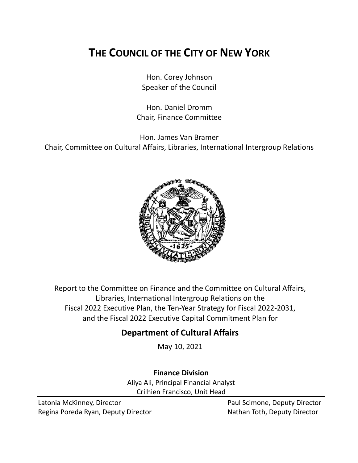# **THE COUNCIL OF THE CITY OF NEW YORK**

Hon. Corey Johnson Speaker of the Council

Hon. Daniel Dromm Chair, Finance Committee

Hon. James Van Bramer Chair, Committee on Cultural Affairs, Libraries, International Intergroup Relations



Report to the Committee on Finance and the Committee on Cultural Affairs, Libraries, International Intergroup Relations on the Fiscal 2022 Executive Plan, the Ten-Year Strategy for Fiscal 2022-2031, and the Fiscal 2022 Executive Capital Commitment Plan for

# **Department of Cultural Affairs**

May 10, 2021

**Finance Division**

Aliya Ali, Principal Financial Analyst Crilhien Francisco, Unit Head

Latonia McKinney, Director **Paul Scimone, Deputy Director** Paul Scimone, Deputy Director Regina Poreda Ryan, Deputy Director Nathan Toth, Deputy Director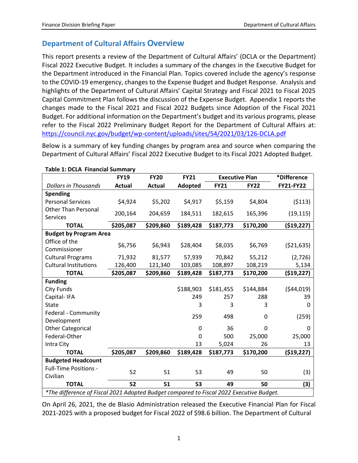# **Department of Cultural Affairs Overview**

This report presents a review of the Department of Cultural Affairs' (DCLA or the Department) Fiscal 2022 Executive Budget. It includes a summary of the changes in the Executive Budget for the Department introduced in the Financial Plan. Topics covered include the agency's response to the COVID-19 emergency, changes to the Expense Budget and Budget Response. Analysis and highlights of the Department of Cultural Affairs' Capital Strategy and Fiscal 2021 to Fiscal 2025 Capital Commitment Plan follows the discussion of the Expense Budget. Appendix 1 reports the changes made to the Fiscal 2021 and Fiscal 2022 Budgets since Adoption of the Fiscal 2021 Budget. For additional information on the Department's budget and its various programs, please refer to the Fiscal 2022 Preliminary Budget Report for the Department of Cultural Affairs at: <https://council.nyc.gov/budget/wp-content/uploads/sites/54/2021/03/126-DCLA.pdf>

Below is a summary of key funding changes by program area and source when comparing the Department of Cultural Affairs' Fiscal 2022 Executive Budget to its Fiscal 2021 Adopted Budget.

| rable 1: DCLA Financial Summary                                                         | <b>FY19</b>   | <b>FY20</b>   | <b>FY21</b>  | <b>Executive Plan</b> |             | *Difference      |  |
|-----------------------------------------------------------------------------------------|---------------|---------------|--------------|-----------------------|-------------|------------------|--|
| <b>Dollars in Thousands</b>                                                             | <b>Actual</b> | <b>Actual</b> | Adopted      | <b>FY21</b>           | <b>FY22</b> | <b>FY21-FY22</b> |  |
| <b>Spending</b>                                                                         |               |               |              |                       |             |                  |  |
| <b>Personal Services</b>                                                                | \$4,924       | \$5,202       | \$4,917      | \$5,159               | \$4,804     | (5113)           |  |
| <b>Other Than Personal</b>                                                              | 200,164       | 204,659       | 184,511      | 182,615               | 165,396     | (19, 115)        |  |
| <b>Services</b>                                                                         |               |               |              |                       |             |                  |  |
| <b>TOTAL</b>                                                                            | \$205,087     | \$209,860     | \$189,428    | \$187,773             | \$170,200   | ( \$19, 227)     |  |
| <b>Budget by Program Area</b>                                                           |               |               |              |                       |             |                  |  |
| Office of the                                                                           | \$6,756       | \$6,943       | \$28,404     | \$8,035               | \$6,769     | ( \$21,635)      |  |
| Commissioner                                                                            |               |               |              |                       |             |                  |  |
| <b>Cultural Programs</b>                                                                | 71,932        | 81,577        | 57,939       | 70,842                | 55,212      | (2,726)          |  |
| <b>Cultural Institutions</b>                                                            | 126,400       | 121,340       | 103,085      | 108,897               | 108,219     | 5,134            |  |
| <b>TOTAL</b>                                                                            | \$205,087     | \$209,860     | \$189,428    | \$187,773             | \$170,200   | (519, 227)       |  |
| <b>Funding</b>                                                                          |               |               |              |                       |             |                  |  |
| <b>City Funds</b>                                                                       |               |               | \$188,903    | \$181,455             | \$144,884   | (544, 019)       |  |
| Capital-IFA                                                                             |               |               | 249          | 257                   | 288         | 39               |  |
| <b>State</b>                                                                            |               |               | 3            | 3                     | 3           | 0                |  |
| Federal - Community                                                                     |               |               | 259          | 498                   | 0           | (259)            |  |
| Development                                                                             |               |               |              |                       |             |                  |  |
| <b>Other Categorical</b>                                                                |               |               | 0            | 36                    | $\Omega$    | 0                |  |
| Federal-Other                                                                           |               |               | $\mathbf{0}$ | 500                   | 25,000      | 25,000           |  |
| Intra City                                                                              |               |               | 13           | 5,024                 | 26          | 13               |  |
| <b>TOTAL</b>                                                                            | \$205,087     | \$209,860     | \$189,428    | \$187,773             | \$170,200   | ( \$19, 227)     |  |
| <b>Budgeted Headcount</b>                                                               |               |               |              |                       |             |                  |  |
| <b>Full-Time Positions -</b>                                                            | 52            | 51            | 53           | 49                    | 50          | (3)              |  |
| Civilian                                                                                |               |               |              |                       |             |                  |  |
| <b>TOTAL</b>                                                                            | 52            | 51            | 53           | 49                    | 50          | (3)              |  |
| *The difference of Fiscal 2021 Adopted Budget compared to Fiscal 2022 Executive Budget. |               |               |              |                       |             |                  |  |

**Table 1: DCLA Financial Summary**

On April 26, 2021, the de Blasio Administration released the Executive Financial Plan for Fiscal 2021-2025 with a proposed budget for Fiscal 2022 of \$98.6 billion. The Department of Cultural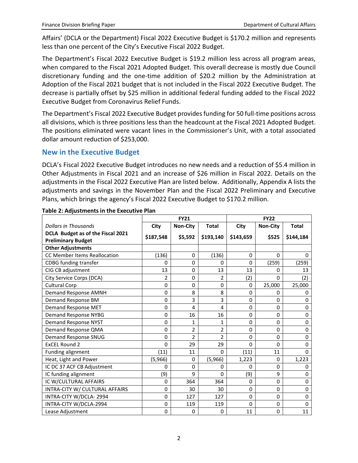Affairs' (DCLA or the Department) Fiscal 2022 Executive Budget is \$170.2 million and represents less than one percent of the City's Executive Fiscal 2022 Budget.

The Department's Fiscal 2022 Executive Budget is \$19.2 million less across all program areas, when compared to the Fiscal 2021 Adopted Budget. This overall decrease is mostly due Council discretionary funding and the one-time addition of \$20.2 million by the Administration at Adoption of the Fiscal 2021 budget that is not included in the Fiscal 2022 Executive Budget. The decrease is partially offset by \$25 million in additional federal funding added to the Fiscal 2022 Executive Budget from Coronavirus Relief Funds.

The Department's Fiscal 2022 Executive Budget provides funding for 50 full-time positions across all divisions, which is three positions less than the headcount at the Fiscal 2021 Adopted Budget. The positions eliminated were vacant lines in the Commissioner's Unit, with a total associated dollar amount reduction of \$253,000.

#### **New in the Executive Budget**

DCLA's Fiscal 2022 Executive Budget introduces no new needs and a reduction of \$5.4 million in Other Adjustments in Fiscal 2021 and an increase of \$26 million in Fiscal 2022. Details on the adjustments in the Fiscal 2022 Executive Plan are listed below. Additionally, Appendix A lists the adjustments and savings in the November Plan and the Fiscal 2022 Preliminary and Executive Plans, which brings the agency's Fiscal 2022 Executive Budget to \$170.2 million.

|                                                                | <b>FY21</b> |                 | <b>FY22</b>    |              |                 |              |
|----------------------------------------------------------------|-------------|-----------------|----------------|--------------|-----------------|--------------|
| <b>Dollars in Thousands</b>                                    | City        | <b>Non-City</b> | <b>Total</b>   | City         | <b>Non-City</b> | <b>Total</b> |
| DCLA Budget as of the Fiscal 2021<br><b>Preliminary Budget</b> | \$187,548   | \$5,592         | \$193,140      | \$143,659    | \$525           | \$144,184    |
| <b>Other Adjustments</b>                                       |             |                 |                |              |                 |              |
| <b>CC Member Items Reallocation</b>                            | (136)       | 0               | (136)          | $\Omega$     | $\Omega$        | 0            |
| <b>CDBG</b> funding transfer                                   | $\Omega$    | 0               | $\Omega$       | $\Omega$     | (259)           | (259)        |
| CIG CB adjustment                                              | 13          | 0               | 13             | 13           | 0               | 13           |
| City Service Corps (DCA)                                       | 2           | 0               | 2              | (2)          | $\Omega$        | (2)          |
| <b>Cultural Corp</b>                                           | $\Omega$    | 0               | $\Omega$       | $\Omega$     | 25,000          | 25,000       |
| Demand Response AMNH                                           | 0           | 8               | 8              | $\Omega$     | $\Omega$        | 0            |
| Demand Response BM                                             | 0           | 3               | 3              | 0            | $\Omega$        | $\Omega$     |
| Demand Response MET                                            | $\mathbf 0$ | $\overline{4}$  | 4              | $\mathbf 0$  | $\Omega$        | $\mathbf 0$  |
| <b>Demand Response NYBG</b>                                    | 0           | 16              | 16             | $\Omega$     | $\Omega$        | 0            |
| <b>Demand Response NYST</b>                                    | $\Omega$    | 1               | 1              | $\mathbf{0}$ | $\Omega$        | $\mathbf 0$  |
| Demand Response QMA                                            | $\mathbf 0$ | 2               | 2              | $\mathbf 0$  | 0               | $\mathbf 0$  |
| Demand Response SNUG                                           | $\mathbf 0$ | $\overline{2}$  | $\overline{2}$ | 0            | $\Omega$        | 0            |
| <b>ExCEL Round 2</b>                                           | $\Omega$    | 29              | 29             | $\mathbf{0}$ | $\Omega$        | $\mathbf{0}$ |
| Funding alignment                                              | (11)        | 11              | $\Omega$       | (11)         | 11              | $\Omega$     |
| Heat, Light and Power                                          | (5,966)     | 0               | (5,966)        | 1,223        | $\Omega$        | 1,223        |
| IC DC 37 ACF CB Adjustment                                     | 0           | 0               | 0              | $\Omega$     | $\Omega$        | 0            |
| IC funding alignment                                           | (9)         | 9               | $\Omega$       | (9)          | 9               | 0            |
| IC W/CULTURAL AFFAIRS                                          | 0           | 364             | 364            | $\mathbf{0}$ | $\Omega$        | 0            |
| INTRA-CITY W/ CULTURAL AFFAIRS                                 | $\mathbf 0$ | 30              | 30             | $\Omega$     | $\Omega$        | $\mathbf 0$  |
| INTRA-CITY W/DCLA-2994                                         | $\mathbf 0$ | 127             | 127            | $\Omega$     | $\Omega$        | $\mathbf{0}$ |
| INTRA-CITY W/DCLA-2994                                         | $\mathbf 0$ | 119             | 119            | $\mathbf{0}$ | 0               | $\mathbf{0}$ |
| Lease Adjustment                                               | 0           | 0               | 0              | 11           | 0               | 11           |

#### **Table 2: Adjustments in the Executive Plan**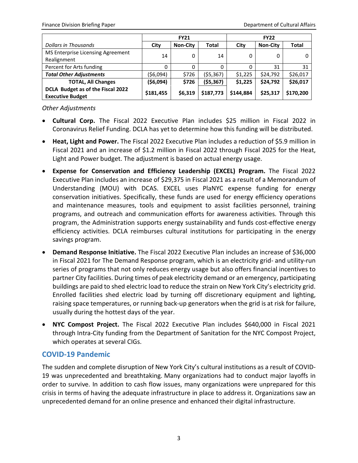|                                   | <b>FY21</b> |                 |           | <b>FY22</b> |                 |           |
|-----------------------------------|-------------|-----------------|-----------|-------------|-----------------|-----------|
| Dollars in Thousands              | City        | <b>Non-City</b> | Total     | City        | <b>Non-City</b> | Total     |
| MS Enterprise Licensing Agreement | 14          | 0               | 14        | 0           | 0               | 0         |
| Realignment                       |             |                 |           |             |                 |           |
| Percent for Arts funding          | 0           | 0               | 0         | 0           | 31              | 31        |
| <b>Total Other Adjustments</b>    | (\$6,094)   | \$726           | (55, 367) | \$1,225     | \$24,792        | \$26,017  |
| <b>TOTAL, All Changes</b>         | (\$6,094)   | \$726           | (55, 367) | \$1,225     | \$24,792        | \$26,017  |
| DCLA Budget as of the Fiscal 2022 |             |                 |           | \$144,884   |                 |           |
| <b>Executive Budget</b>           | \$181,455   | \$6,319         | \$187,773 |             | \$25,317        | \$170,200 |

*Other Adjustments*

- **Cultural Corp.** The Fiscal 2022 Executive Plan includes \$25 million in Fiscal 2022 in Coronavirus Relief Funding. DCLA has yet to determine how this funding will be distributed.
- **Heat, Light and Power.** The Fiscal 2022 Executive Plan includes a reduction of \$5.9 million in Fiscal 2021 and an increase of \$1.2 million in Fiscal 2022 through Fiscal 2025 for the Heat, Light and Power budget. The adjustment is based on actual energy usage.
- **Expense for Conservation and Efficiency Leadership (EXCEL) Program.** The Fiscal 2022 Executive Plan includes an increase of \$29,375 in Fiscal 2021 as a result of a Memorandum of Understanding (MOU) with DCAS. EXCEL uses PlaNYC expense funding for energy conservation initiatives. Specifically, these funds are used for energy efficiency operations and maintenance measures, tools and equipment to assist facilities personnel, training programs, and outreach and communication efforts for awareness activities. Through this program, the Administration supports energy sustainability and funds cost-effective energy efficiency activities. DCLA reimburses cultural institutions for participating in the energy savings program.
- **Demand Response Initiative.** The Fiscal 2022 Executive Plan includes an increase of \$36,000 in Fiscal 2021 for The Demand Response program, which is an electricity grid- and utility-run series of programs that not only reduces energy usage but also offers financial incentives to partner City facilities. During times of peak electricity demand or an emergency, participating buildings are paid to shed electric load to reduce the strain on New York City's electricity grid. Enrolled facilities shed electric load by turning off discretionary equipment and lighting, raising space temperatures, or running back-up generators when the grid is at risk for failure, usually during the hottest days of the year.
- **NYC Compost Project.** The Fiscal 2022 Executive Plan includes \$640,000 in Fiscal 2021 through Intra-City funding from the Department of Sanitation for the NYC Compost Project, which operates at several CIGs.

## **COVID-19 Pandemic**

The sudden and complete disruption of New York City's cultural institutions as a result of COVID-19 was unprecedented and breathtaking. Many organizations had to conduct major layoffs in order to survive. In addition to cash flow issues, many organizations were unprepared for this crisis in terms of having the adequate infrastructure in place to address it. Organizations saw an unprecedented demand for an online presence and enhanced their digital infrastructure.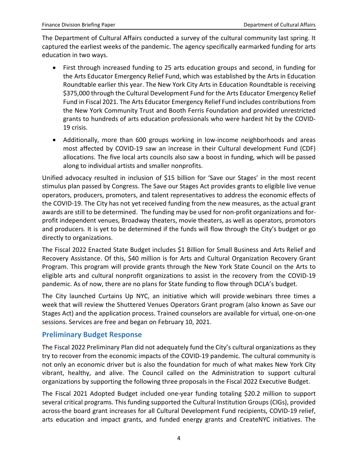The Department of Cultural Affairs conducted a survey of the cultural community last spring. It captured the earliest weeks of the pandemic. The agency specifically earmarked funding for arts education in two ways.

- First through increased funding to 25 arts education groups and second, in funding for the Arts Educator Emergency Relief Fund, which was established by the Arts in Education Roundtable earlier this year. The New York City Arts in Education Roundtable is receiving \$375,000 through the Cultural Development Fund for the Arts Educator Emergency Relief Fund in Fiscal 2021. The Arts Educator Emergency Relief Fund includes contributions from the New York Community Trust and Booth Ferris Foundation and provided unrestricted grants to hundreds of arts education professionals who were hardest hit by the COVID-19 crisis.
- Additionally, more than 600 groups working in low-income neighborhoods and areas most affected by COVID-19 saw an increase in their Cultural development Fund (CDF) allocations. The five local arts councils also saw a boost in funding, which will be passed along to individual artists and smaller nonprofits.

Unified advocacy resulted in inclusion of \$15 billion for 'Save our Stages' in the most recent stimulus plan passed by Congress. The Save our Stages Act provides grants to eligible live venue operators, producers, promoters, and talent representatives to address the economic effects of the COVID-19. The City has not yet received funding from the new measures, as the actual grant awards are still to be determined. The funding may be used for non-profit organizations and forprofit independent venues, Broadway theaters, movie theaters, as well as operators, promotors and producers. It is yet to be determined if the funds will flow through the City's budget or go directly to organizations.

The Fiscal 2022 Enacted State Budget includes \$1 Billion for Small Business and Arts Relief and Recovery Assistance. Of this, \$40 million is for Arts and Cultural Organization Recovery Grant Program. This program will provide grants through the New York State Council on the Arts to eligible arts and cultural nonprofit organizations to assist in the recovery from the COVID-19 pandemic. As of now, there are no plans for State funding to flow through DCLA's budget.

The City launched Curtains Up NYC, an initiative which will provide webinars three times a week that will review the Shuttered Venues Operators Grant program (also known as Save our Stages Act) and the application process. Trained counselors are available for virtual, one-on-one sessions. Services are free and began on February 10, 2021.

## **Preliminary Budget Response**

The Fiscal 2022 Preliminary Plan did not adequately fund the City's cultural organizations as they try to recover from the economic impacts of the COVID-19 pandemic. The cultural community is not only an economic driver but is also the foundation for much of what makes New York City vibrant, healthy, and alive. The Council called on the Administration to support cultural organizations by supporting the following three proposals in the Fiscal 2022 Executive Budget.

The Fiscal 2021 Adopted Budget included one-year funding totaling \$20.2 million to support several critical programs. This funding supported the Cultural Institution Groups (CIGs), provided across-the board grant increases for all Cultural Development Fund recipients, COVID-19 relief, arts education and impact grants, and funded energy grants and CreateNYC initiatives. The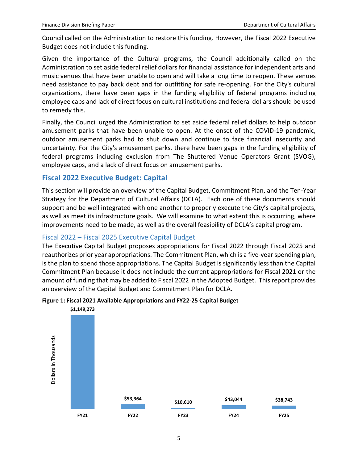Council called on the Administration to restore this funding. However, the Fiscal 2022 Executive Budget does not include this funding.

Given the importance of the Cultural programs, the Council additionally called on the Administration to set aside federal relief dollars for financial assistance for independent arts and music venues that have been unable to open and will take a long time to reopen. These venues need assistance to pay back debt and for outfitting for safe re-opening. For the City's cultural organizations, there have been gaps in the funding eligibility of federal programs including employee caps and lack of direct focus on cultural institutions and federal dollars should be used to remedy this.

Finally, the Council urged the Administration to set aside federal relief dollars to help outdoor amusement parks that have been unable to open. At the onset of the COVID-19 pandemic, outdoor amusement parks had to shut down and continue to face financial insecurity and uncertainty. For the City's amusement parks, there have been gaps in the funding eligibility of federal programs including exclusion from The Shuttered Venue Operators Grant (SVOG), employee caps, and a lack of direct focus on amusement parks.

### **Fiscal 2022 Executive Budget: Capital**

This section will provide an overview of the Capital Budget, Commitment Plan, and the Ten-Year Strategy for the Department of Cultural Affairs (DCLA). Each one of these documents should support and be well integrated with one another to properly execute the City's capital projects, as well as meet its infrastructure goals. We will examine to what extent this is occurring, where improvements need to be made, as well as the overall feasibility of DCLA's capital program.

## Fiscal 2022 – Fiscal 2025 Executive Capital Budget

The Executive Capital Budget proposes appropriations for Fiscal 2022 through Fiscal 2025 and reauthorizes prior year appropriations. The Commitment Plan, which is a five-year spending plan, is the plan to spend those appropriations. The Capital Budget is significantly less than the Capital Commitment Plan because it does not include the current appropriations for Fiscal 2021 or the amount of funding that may be added to Fiscal 2022 in the Adopted Budget. This report provides an overview of the Capital Budget and Commitment Plan for DCLA**.**



#### **Figure 1: Fiscal 2021 Available Appropriations and FY22-25 Capital Budget**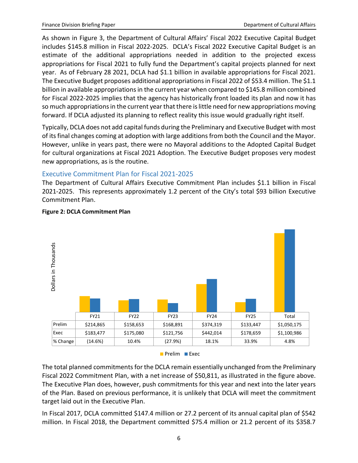As shown in Figure 3, the Department of Cultural Affairs' Fiscal 2022 Executive Capital Budget includes \$145.8 million in Fiscal 2022-2025. DCLA's Fiscal 2022 Executive Capital Budget is an estimate of the additional appropriations needed in addition to the projected excess appropriations for Fiscal 2021 to fully fund the Department's capital projects planned for next year. As of February 28 2021, DCLA had \$1.1 billion in available appropriations for Fiscal 2021. The Executive Budget proposes additional appropriations in Fiscal 2022 of \$53.4 million. The \$1.1 billion in available appropriations in the current year when compared to \$145.8 million combined for Fiscal 2022-2025 implies that the agency has historically front loaded its plan and now it has so much appropriations in the current year that there is little need for new appropriations moving forward. If DCLA adjusted its planning to reflect reality this issue would gradually right itself.

Typically, DCLA does not add capital funds during the Preliminary and Executive Budget with most of its final changes coming at adoption with large additions from both the Council and the Mayor. However, unlike in years past, there were no Mayoral additions to the Adopted Capital Budget for cultural organizations at Fiscal 2021 Adoption. The Executive Budget proposes very modest new appropriations, as is the routine.

### Executive Commitment Plan for Fiscal 2021-2025

The Department of Cultural Affairs Executive Commitment Plan includes \$1.1 billion in Fiscal 2021-2025. This represents approximately 1.2 percent of the City's total \$93 billion Executive Commitment Plan.



#### **Figure 2: DCLA Commitment Plan**

Prelim **Exec** 

The total planned commitments for the DCLA remain essentially unchanged from the Preliminary Fiscal 2022 Commitment Plan, with a net increase of \$50,811, as illustrated in the figure above. The Executive Plan does, however, push commitments for this year and next into the later years of the Plan. Based on previous performance, it is unlikely that DCLA will meet the commitment target laid out in the Executive Plan.

In Fiscal 2017, DCLA committed \$147.4 million or 27.2 percent of its annual capital plan of \$542 million. In Fiscal 2018, the Department committed \$75.4 million or 21.2 percent of its \$358.7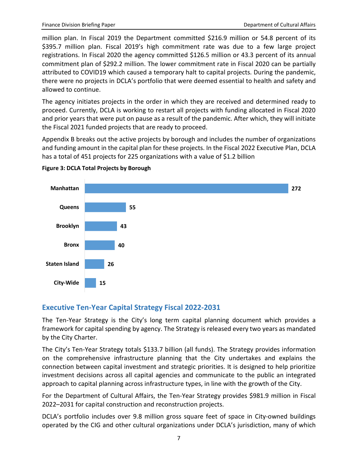million plan. In Fiscal 2019 the Department committed \$216.9 million or 54.8 percent of its \$395.7 million plan. Fiscal 2019's high commitment rate was due to a few large project registrations. In Fiscal 2020 the agency committed \$126.5 million or 43.3 percent of its annual commitment plan of \$292.2 million. The lower commitment rate in Fiscal 2020 can be partially attributed to COVID19 which caused a temporary halt to capital projects. During the pandemic, there were no projects in DCLA's portfolio that were deemed essential to health and safety and allowed to continue.

The agency initiates projects in the order in which they are received and determined ready to proceed. Currently, DCLA is working to restart all projects with funding allocated in Fiscal 2020 and prior years that were put on pause as a result of the pandemic. After which, they will initiate the Fiscal 2021 funded projects that are ready to proceed.

Appendix B breaks out the active projects by borough and includes the number of organizations and funding amount in the capital plan for these projects. In the Fiscal 2022 Executive Plan, DCLA has a total of 451 projects for 225 organizations with a value of \$1.2 billion



**Figure 3: DCLA Total Projects by Borough**

#### **Executive Ten-Year Capital Strategy Fiscal 2022-2031**

The Ten-Year Strategy is the City's long term capital planning document which provides a framework for capital spending by agency. The Strategy is released every two years as mandated by the City Charter.

The City's Ten-Year Strategy totals \$133.7 billion (all funds). The Strategy provides information on the comprehensive infrastructure planning that the City undertakes and explains the connection between capital investment and strategic priorities. It is designed to help prioritize investment decisions across all capital agencies and communicate to the public an integrated approach to capital planning across infrastructure types, in line with the growth of the City.

For the Department of Cultural Affairs, the Ten-Year Strategy provides \$981.9 million in Fiscal 2022–2031 for capital construction and reconstruction projects.

DCLA's portfolio includes over 9.8 million gross square feet of space in City-owned buildings operated by the CIG and other cultural organizations under DCLA's jurisdiction, many of which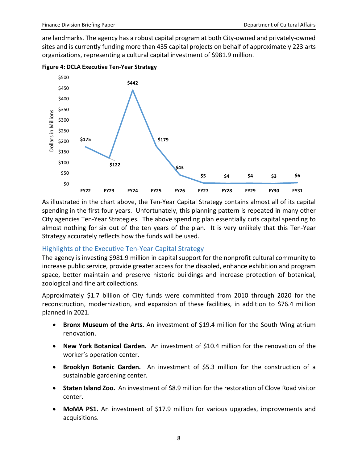are landmarks. The agency has a robust capital program at both City-owned and privately-owned sites and is currently funding more than 435 capital projects on behalf of approximately 223 arts organizations, representing a cultural capital investment of \$981.9 million.



**Figure 4: DCLA Executive Ten-Year Strategy**

As illustrated in the chart above, the Ten-Year Capital Strategy contains almost all of its capital spending in the first four years. Unfortunately, this planning pattern is repeated in many other City agencies Ten-Year Strategies. The above spending plan essentially cuts capital spending to almost nothing for six out of the ten years of the plan. It is very unlikely that this Ten-Year Strategy accurately reflects how the funds will be used.

#### Highlights of the Executive Ten-Year Capital Strategy

The agency is investing \$981.9 million in capital support for the nonprofit cultural community to increase public service, provide greater access for the disabled, enhance exhibition and program space, better maintain and preserve historic buildings and increase protection of botanical, zoological and fine art collections.

Approximately \$1.7 billion of City funds were committed from 2010 through 2020 for the reconstruction, modernization, and expansion of these facilities, in addition to \$76.4 million planned in 2021.

- **Bronx Museum of the Arts.** An investment of \$19.4 million for the South Wing atrium renovation.
- **New York Botanical Garden.** An investment of \$10.4 million for the renovation of the worker's operation center.
- **Brooklyn Botanic Garden.** An investment of \$5.3 million for the construction of a sustainable gardening center.
- **Staten Island Zoo.** An investment of \$8.9 million for the restoration of Clove Road visitor center.
- **MoMA PS1.** An investment of \$17.9 million for various upgrades, improvements and acquisitions.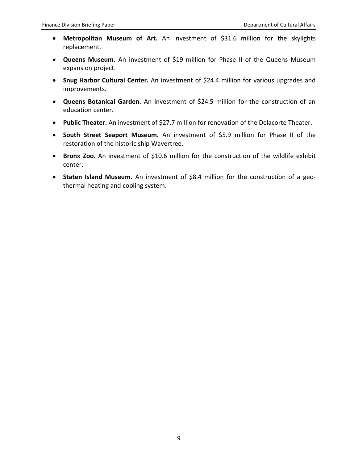- **Metropolitan Museum of Art.** An investment of \$31.6 million for the skylights replacement.
- **Queens Museum.** An investment of \$19 million for Phase II of the Queens Museum expansion project.
- **Snug Harbor Cultural Center.** An investment of \$24.4 million for various upgrades and improvements.
- **Queens Botanical Garden.** An investment of \$24.5 million for the construction of an education center.
- **Public Theater.** An investment of \$27.7 million for renovation of the Delacorte Theater.
- **South Street Seaport Museum.** An investment of \$5.9 million for Phase II of the restoration of the historic ship Wavertree.
- **Bronx Zoo.** An investment of \$10.6 million for the construction of the wildlife exhibit center.
- **Staten Island Museum.** An investment of \$8.4 million for the construction of a geothermal heating and cooling system.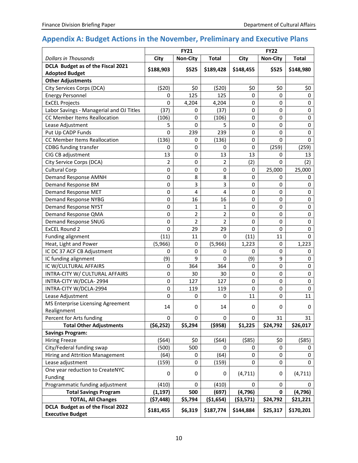# **Appendix A: Budget Actions in the November, Preliminary and Executive Plans**

|                                                              | <b>FY21</b>    |                 |                         | <b>FY22</b> |                 |              |
|--------------------------------------------------------------|----------------|-----------------|-------------------------|-------------|-----------------|--------------|
| <b>Dollars in Thousands</b>                                  | City           | <b>Non-City</b> | <b>Total</b>            | City        | <b>Non-City</b> | <b>Total</b> |
| DCLA Budget as of the Fiscal 2021<br><b>Adopted Budget</b>   | \$188,903      | \$525           | \$189,428               | \$148,455   | \$525           | \$148,980    |
| <b>Other Adjustments</b>                                     |                |                 |                         |             |                 |              |
| City Services Corps (DCA)                                    | (520)          | \$0             | (520)                   | \$0         | \$0             | \$0          |
| <b>Energy Personnel</b>                                      | $\mathbf 0$    | 125             | 125                     | 0           | 0               | $\mathbf 0$  |
| <b>ExCEL Projects</b>                                        | 0              | 4,204           | 4,204                   | 0           | $\mathbf 0$     | $\mathbf 0$  |
| Labor Savings - Managerial and OJ Titles                     | (37)           | 0               | (37)                    | 0           | $\mathbf 0$     | $\pmb{0}$    |
| CC Member Items Reallocation                                 | (106)          | $\mathbf 0$     | (106)                   | 0           | 0               | $\pmb{0}$    |
| Lease Adjustment                                             | 5              | $\mathbf 0$     | 5                       | 0           | 0               | 0            |
| Put Up CADP Funds                                            | $\Omega$       | 239             | 239                     | 0           | $\mathbf 0$     | 0            |
| CC Member Items Reallocation                                 | (136)          | 0               | (136)                   | 0           | 0               | 0            |
| <b>CDBG</b> funding transfer                                 | 0              | $\mathbf 0$     | 0                       | 0           | (259)           | (259)        |
| CIG CB adjustment                                            | 13             | 0               | 13                      | 13          | 0               | 13           |
| City Service Corps (DCA)                                     | $\overline{2}$ | 0               | $\overline{2}$          | (2)         | 0               | (2)          |
| <b>Cultural Corp</b>                                         | $\mathbf 0$    | $\mathbf 0$     | 0                       | 0           | 25,000          | 25,000       |
| Demand Response AMNH                                         | $\mathbf 0$    | 8               | 8                       | 0           | 0               | 0            |
| Demand Response BM                                           | $\mathbf 0$    | $\mathsf{3}$    | 3                       | 0           | $\mathbf 0$     | 0            |
| Demand Response MET                                          | $\mathbf 0$    | $\overline{4}$  | $\overline{\mathbf{4}}$ | 0           | $\mathbf 0$     | 0            |
| <b>Demand Response NYBG</b>                                  | $\mathbf 0$    | 16              | 16                      | 0           | 0               | 0            |
| <b>Demand Response NYST</b>                                  | $\mathbf 0$    | 1               | 1                       | 0           | $\mathbf 0$     | 0            |
| Demand Response QMA                                          | $\mathbf 0$    | 2               | 2                       | 0           | $\mathbf 0$     | 0            |
| <b>Demand Response SNUG</b>                                  | $\mathbf 0$    | $\overline{2}$  | $\overline{2}$          | 0           | 0               | $\pmb{0}$    |
| <b>ExCEL Round 2</b>                                         | $\Omega$       | 29              | 29                      | 0           | 0               | $\mathbf 0$  |
| Funding alignment                                            | (11)           | 11              | 0                       | (11)        | 11              | $\mathbf 0$  |
| Heat, Light and Power                                        | (5,966)        | $\mathbf 0$     | (5,966)                 | 1,223       | $\mathbf 0$     | 1,223        |
| IC DC 37 ACF CB Adjustment                                   | $\mathbf 0$    | $\mathbf 0$     | 0                       | 0           | $\mathbf 0$     | 0            |
| IC funding alignment                                         | (9)            | 9               | 0                       | (9)         | 9               | 0            |
| IC W/CULTURAL AFFAIRS                                        | $\mathbf 0$    | 364             | 364                     | 0           | 0               | 0            |
| INTRA-CITY W/ CULTURAL AFFAIRS                               | $\mathbf 0$    | 30              | 30                      | 0           | 0               | 0            |
| INTRA-CITY W/DCLA-2994                                       | $\mathbf 0$    | 127             | 127                     | 0           | 0               | $\mathbf 0$  |
| INTRA-CITY W/DCLA-2994                                       | $\mathbf 0$    | 119             | 119                     | 0           | $\mathbf 0$     | $\mathbf 0$  |
| Lease Adjustment                                             | $\mathbf 0$    | 0               | 0                       | 11          | 0               | 11           |
| MS Enterprise Licensing Agreement<br>Realignment             | 14             | 0               | 14                      | 0           | $\mathbf 0$     | 0            |
| Percent for Arts funding                                     | 0              | 0               | 0                       | 0           | 31              | 31           |
| <b>Total Other Adjustments</b>                               | (56, 252)      | \$5,294         | (5958)                  | \$1,225     | \$24,792        | \$26,017     |
| <b>Savings Program:</b>                                      |                |                 |                         |             |                 |              |
| <b>Hiring Freeze</b>                                         | (564)          | \$0             | (564)                   | ( \$85)     | \$0             | ( \$85)      |
| City/Federal funding swap                                    | (500)          | 500             | 0                       | 0           | 0               | 0            |
| Hiring and Attrition Management                              | (64)           | 0               | (64)                    | 0           | 0               | 0            |
| Lease adjustment                                             | (159)          | 0               | (159)                   | 0           | 0               | 0            |
| One year reduction to CreateNYC<br>Funding                   | 0              | 0               | 0                       | (4, 711)    | 0               | (4, 711)     |
| Programmatic funding adjustment                              | (410)          | 0               | (410)                   | 0           | 0               | 0            |
| <b>Total Savings Program</b>                                 | (1, 197)       | 500             | (697)                   | (4, 796)    | $\mathbf 0$     | (4, 796)     |
| <b>TOTAL, All Changes</b>                                    | (57, 448)      | \$5,794         | ( \$1,654)              | ( \$3,571)  | \$24,792        | \$21,221     |
| DCLA Budget as of the Fiscal 2022<br><b>Executive Budget</b> | \$181,455      | \$6,319         | \$187,774               | \$144,884   | \$25,317        | \$170,201    |